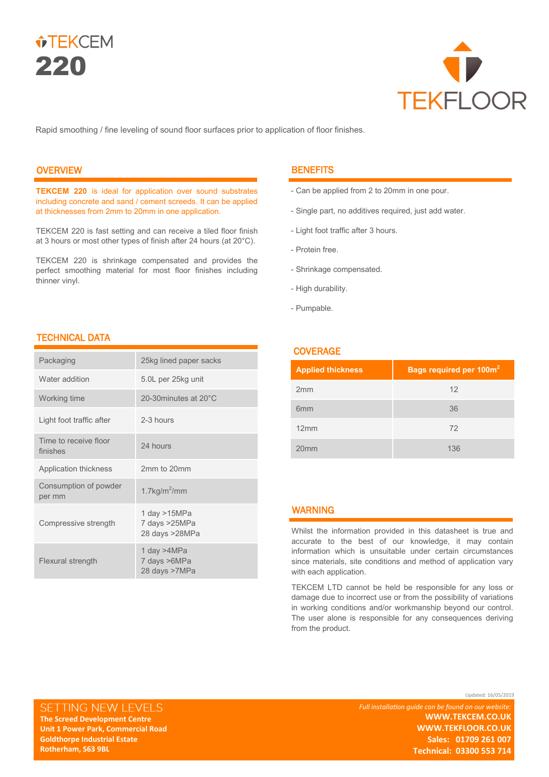



Rapid smoothing / fine leveling of sound floor surfaces prior to application of floor finishes.

# **OVERVIEW**

**TEKCEM 220** is ideal for application over sound substrates including concrete and sand / cement screeds. It can be applied at thicknesses from 2mm to 20mm in one application.

TEKCEM 220 is fast setting and can receive a tiled floor finish at 3 hours or most other types of finish after 24 hours (at 20°C).

TEKCEM 220 is shrinkage compensated and provides the perfect smoothing material for most floor finishes including thinner vinyl.

# **BENEFITS**

- Can be applied from 2 to 20mm in one pour.
- Single part, no additives required, just add water.
- Light foot traffic after 3 hours.
- Protein free.
- Shrinkage compensated.
- High durability.
- Pumpable.

## **COVERAGE**

| <b>Applied thickness</b> | Bags required per 100m <sup>2</sup> |
|--------------------------|-------------------------------------|
| 2mm                      | 12                                  |
| 6 <sub>mm</sub>          | 36                                  |
| 12mm                     | 72                                  |
| 20 <sub>mm</sub>         | 136                                 |

## WARNING

Whilst the information provided in this datasheet is true and accurate to the best of our knowledge, it may contain information which is unsuitable under certain circumstances since materials, site conditions and method of application vary with each application.

TEKCEM LTD cannot be held be responsible for any loss or damage due to incorrect use or from the possibility of variations in working conditions and/or workmanship beyond our control. The user alone is responsible for any consequences deriving from the product.

## TECHNICAL DATA

**The Screed Development Centre Unit 1 Power Park, Commercial Road Goldthorpe Industrial Estate Rotherham, S63 9BL** 

SETTING NEW LEVELS

| Packaging                         | 25kg lined paper sacks                            |
|-----------------------------------|---------------------------------------------------|
| Water addition                    | 5.0L per 25kg unit                                |
| Working time                      | 20-30minutes at 20°C                              |
| Light foot traffic after          | 2-3 hours                                         |
| Time to receive floor<br>finishes | 24 hours                                          |
| Application thickness             | 2mm to 20mm                                       |
| Consumption of powder<br>per mm   | 1.7 $kg/m2/mm$                                    |
| Compressive strength              | 1 day $>15MPa$<br>7 days >25MPa<br>28 days >28MPa |
| Flexural strength                 | 1 day >4MPa<br>7 days >6MPa<br>28 days >7MPa      |

Updated: 16/05/2019

*Full installation guide can be found on our website:* **WWW.TEKCEM.CO.UK WWW.TEKFLOOR.CO.UK Sales: 01709 261 007**

**Technical: 03300 553 714**